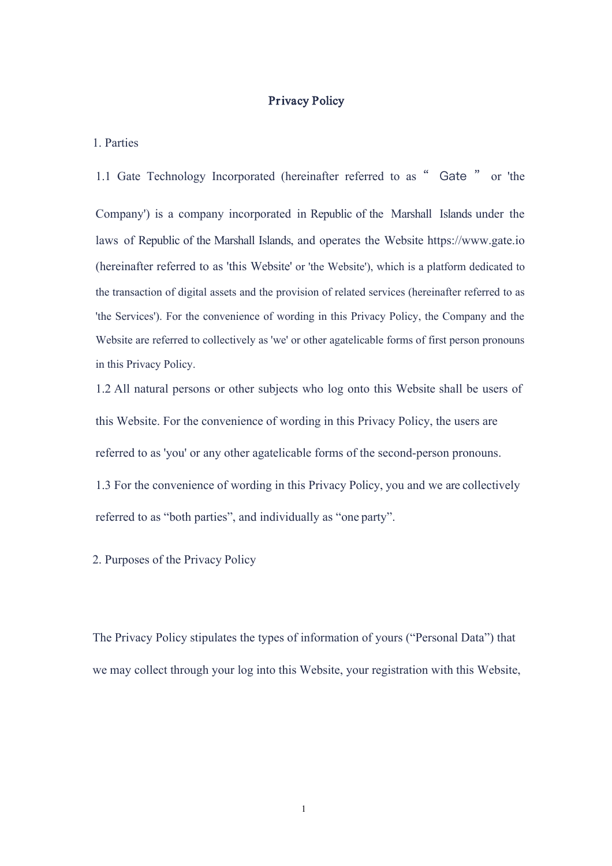## Privacy Policy

## 1. Parties

1.1 Gate Technology Incorporated (hereinafter referred to as " Gate " or 'the Company') is a company incorporated in Republic of the Marshall Islands under the laws of Republic of the Marshall Islands, and operates the Website https://[www.gate.io](http://www.pppppppppppp.com/) (hereinafter referred to as 'this Website' or 'the Website'), which is a platform dedicated to the transaction of digital assets and the provision of related services (hereinafter referred to as 'the Services'). For the convenience of wording in this Privacy Policy, the Company and the Website are referred to collectively as 'we' or other agatelicable forms of first person pronouns in this Privacy Policy.

1.2 All natural persons or other subjects who log onto this Website shall be users of this Website. For the convenience of wording in this Privacy Policy, the users are referred to as 'you' or any other agatelicable forms of the second-person pronouns.

1.3 For the convenience of wording in this Privacy Policy, you and we are collectively referred to as "both parties", and individually as "one party".

2. Purposes of the Privacy Policy

The Privacy Policy stipulates the types of information of yours ("Personal Data") that we may collect through your log into this Website, your registration with this Website,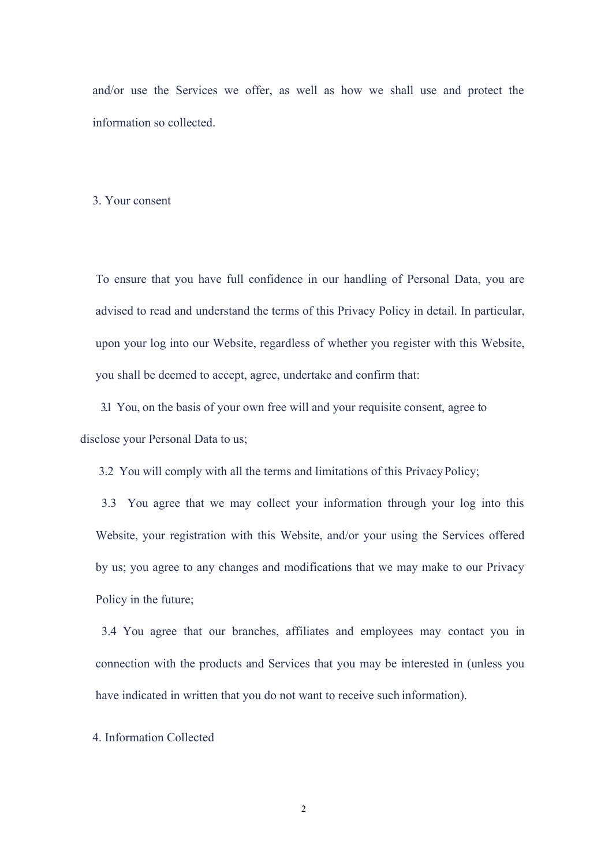and/or use the Services we offer, as well as how we shall use and protect the information so collected.

## 3. Your consent

To ensure that you have full confidence in our handling of Personal Data, you are advised to read and understand the terms of this Privacy Policy in detail. In particular, upon your log into our Website, regardless of whether you register with this Website, you shall be deemed to accept, agree, undertake and confirm that:

3.1 You, on the basis of your own free will and your requisite consent, agree to disclose your Personal Data to us;

3.2 You will comply with all the terms and limitations of this PrivacyPolicy;

3.3 You agree that we may collect your information through your log into this Website, your registration with this Website, and/or your using the Services offered by us; you agree to any changes and modifications that we may make to our Privacy Policy in the future;

3.4 You agree that our branches, affiliates and employees may contact you in connection with the products and Services that you may be interested in (unless you have indicated in written that you do not want to receive such information).

4. Information Collected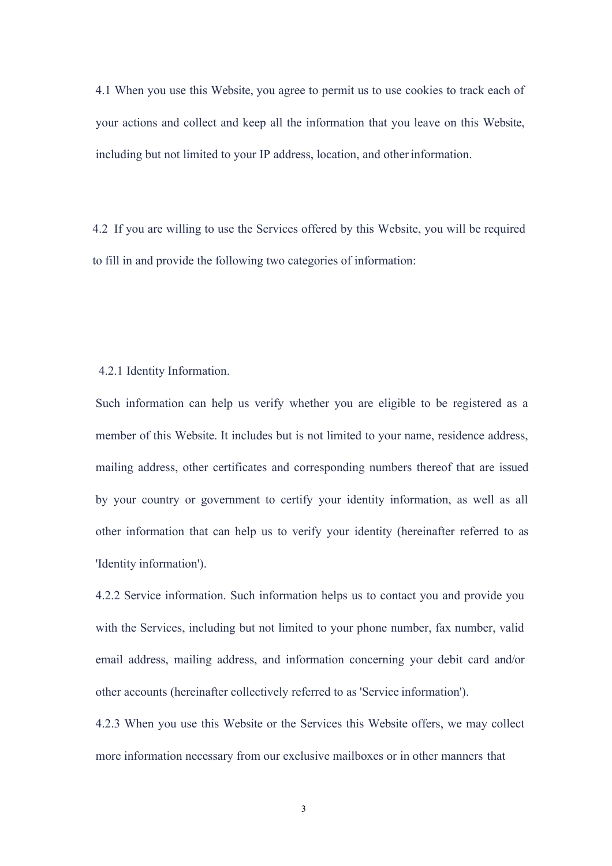4.1 When you use this Website, you agree to permit us to use cookies to track each of your actions and collect and keep all the information that you leave on this Website, including but not limited to your IP address, location, and otherinformation.

4.2 If you are willing to use the Services offered by this Website, you will be required to fill in and provide the following two categories of information:

## 4.2.1 Identity Information.

Such information can help us verify whether you are eligible to be registered as a member of this Website. It includes but is not limited to your name, residence address, mailing address, other certificates and corresponding numbers thereof that are issued by your country or government to certify your identity information, as well as all other information that can help us to verify your identity (hereinafter referred to as 'Identity information').

4.2.2 Service information. Such information helps us to contact you and provide you with the Services, including but not limited to your phone number, fax number, valid email address, mailing address, and information concerning your debit card and/or other accounts (hereinafter collectively referred to as'Service information').

4.2.3 When you use this Website or the Services this Website offers, we may collect more information necessary from our exclusive mailboxes or in other manners that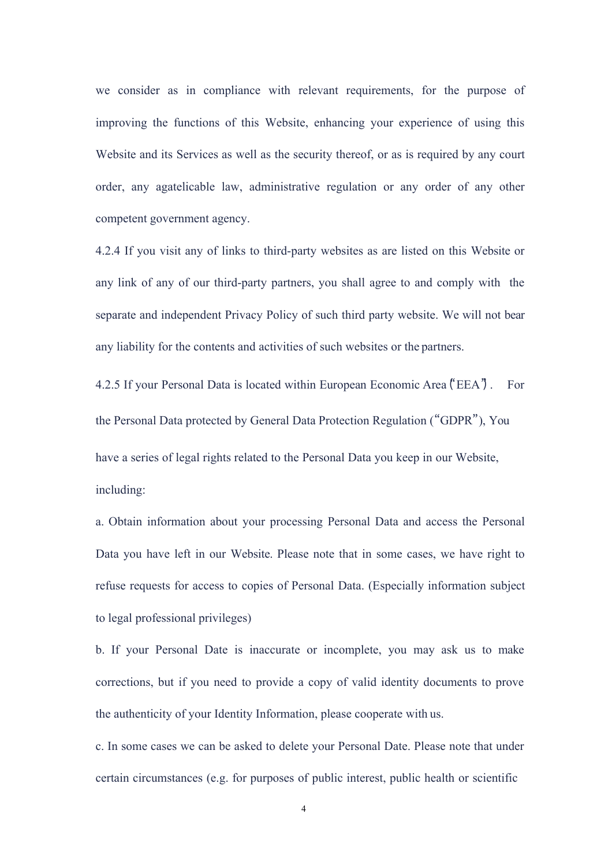we consider as in compliance with relevant requirements, for the purpose of improving the functions of this Website, enhancing your experience of using this Website and its Services as well as the security thereof, or as is required by any court order, any agatelicable law, administrative regulation or any order of any other competent government agency.

4.2.4 If you visit any of links to third-party websites as are listed on this Website or any link of any of our third-party partners, you shall agree to and comply with the separate and independent Privacy Policy of such third party website. We will not bear any liability for the contents and activities of such websites or the partners.

4.2.5 If your Personal Data is located within European Economic Area ("EEA"). For the Personal Data protected by General Data Protection Regulation ("GDPR"), You have a series of legal rights related to the Personal Data you keep in our Website, including:

a. Obtain information about your processing Personal Data and access the Personal Data you have left in our Website. Please note that in some cases, we have right to refuse requests for access to copies of Personal Data. (Especially information subject to legal professional privileges)

b. If your Personal Date is inaccurate or incomplete, you may ask us to make corrections, but if you need to provide a copy of valid identity documents to prove the authenticity of your Identity Information, please cooperate with us.

c. In some cases we can be asked to delete your Personal Date. Please note that under certain circumstances (e.g. for purposes of public interest, public health or scientific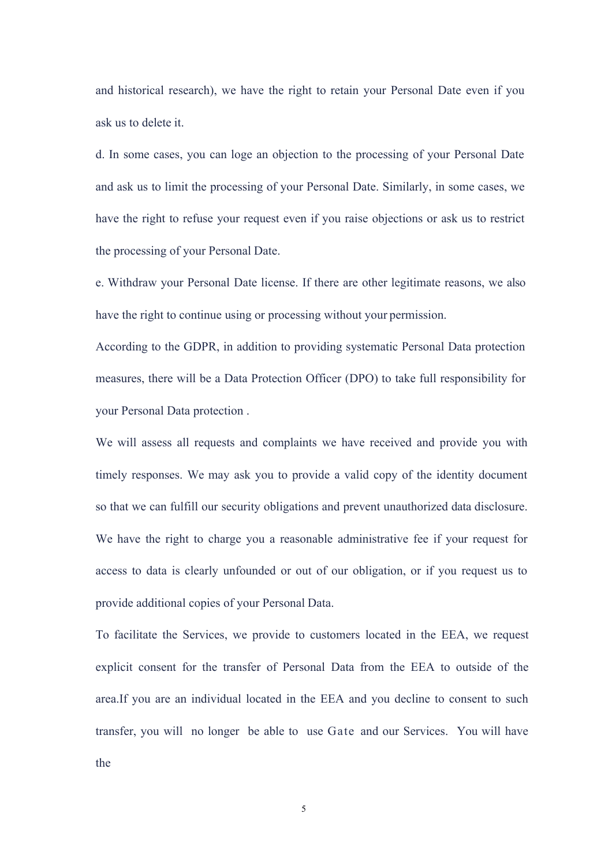and historical research), we have the right to retain your Personal Date even if you ask us to delete it.

d. In some cases, you can loge an objection to the processing of your Personal Date and ask us to limit the processing of your Personal Date. Similarly, in some cases, we have the right to refuse your request even if you raise objections or ask us to restrict the processing of your Personal Date.

e. Withdraw your Personal Date license. If there are other legitimate reasons, we also have the right to continue using or processing without your permission.

According to the GDPR, in addition to providing systematic Personal Data protection measures, there will be a Data Protection Officer(DPO) to take full responsibility for your Personal Data protection .

We will assess all requests and complaints we have received and provide you with timely responses. We may ask you to provide a valid copy of the identity document so that we can fulfill our security obligations and prevent unauthorized data disclosure. We have the right to charge you a reasonable administrative fee if your request for access to data is clearly unfounded or out of our obligation, or if you request us to provide additional copies of your Personal Data.

To facilitate the Services, we provide to customers located in the EEA, we request explicit consent for the transfer of Personal Data from the EEA to outside of the area.If you are an individual located in the EEA and you decline to consent to such transfer, you will no longer be able to use Gate and our Services. You will have the

5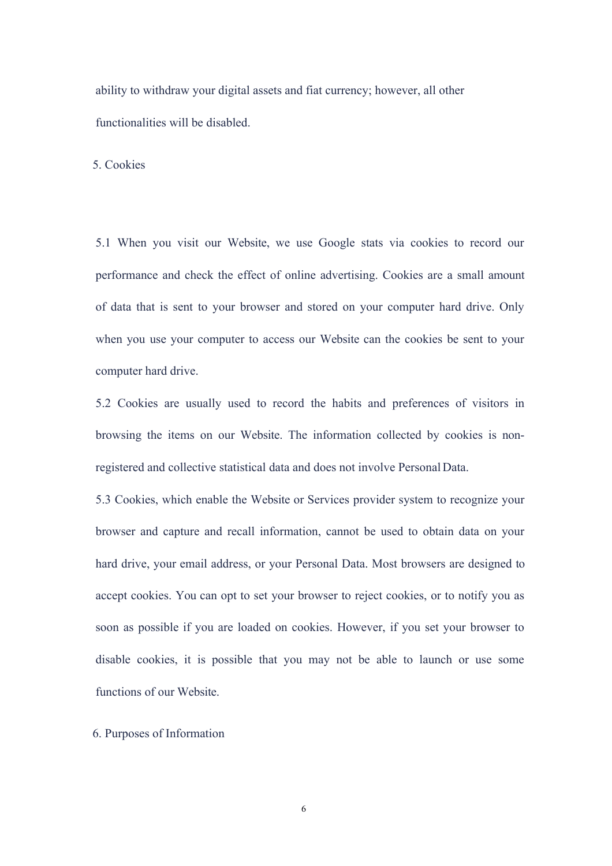ability to withdraw your digital assets and fiat currency; however, all other functionalities will be disabled.

5. Cookies

5.1 When you visit our Website, we use Google stats via cookies to record our performance and check the effect of online advertising. Cookies are a small amount of data that is sent to your browser and stored on your computer hard drive. Only when you use your computer to access our Website can the cookies be sent to your computer hard drive.

5.2 Cookies are usually used to record the habits and preferences of visitors in browsing the items on our Website. The information collected by cookies is nonregistered and collective statistical data and doesnot involve Personal Data.

5.3 Cookies, which enable the Website or Services provider system to recognize your browser and capture and recall information, cannot be used to obtain data on your hard drive, your email address, or your Personal Data. Most browsers are designed to accept cookies. You can opt to set your browser to reject cookies, or to notify you as soon as possible if you are loaded on cookies. However, if you set your browser to disable cookies, it is possible that you may not be able to launch or use some functions of our Website.

6. Purposes of Information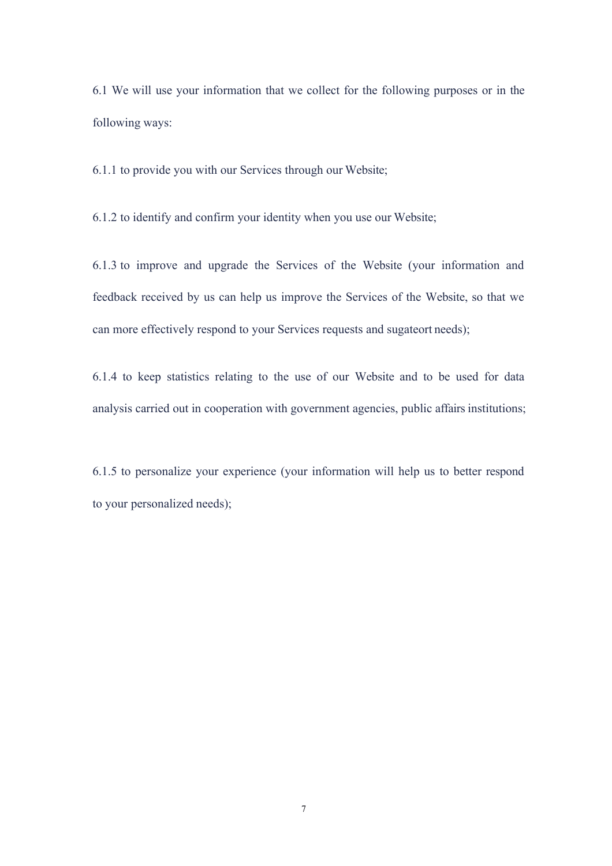6.1 We will use your information that we collect for the following purposes or in the following ways:

6.1.1 to provide you with our Services through our Website;

6.1.2 to identify and confirm your identity when you use our Website;

6.1.3 to improve and upgrade the Services of the Website (your information and feedback received by us can help us improve the Services of the Website, so that we can more effectively respond to your Services requests and sugateort needs);

6.1.4 to keep statistics relating to the use of our Website and to be used for data analysis carried out in cooperation with government agencies, public affairs institutions;

6.1.5 to personalize your experience (your information will help us to better respond to your personalized needs);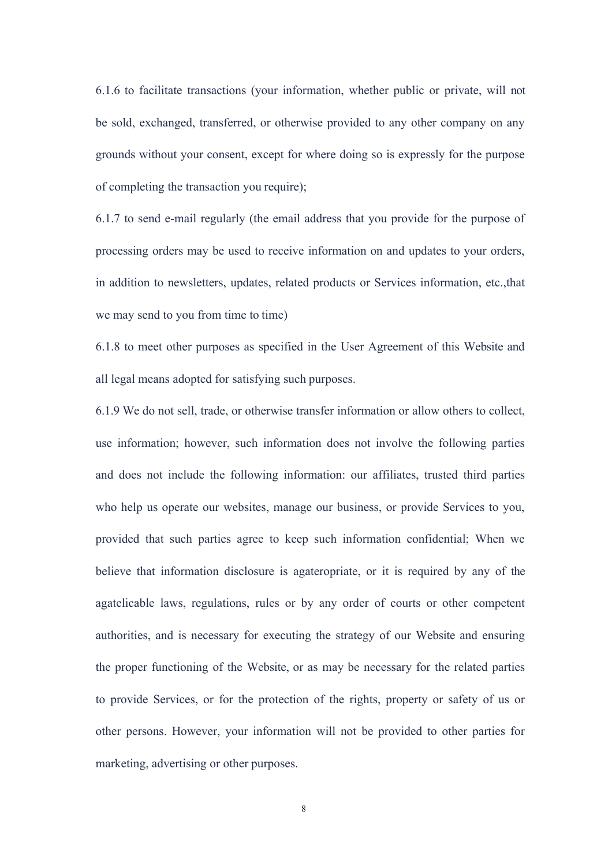6.1.6 to facilitate transactions (your information, whether public or private, will not be sold, exchanged, transferred, or otherwise provided to any other company on any grounds without your consent, except for where doing so isexpressly for the purpose of completing the transaction you require);

6.1.7 to send e-mail regularly (the email address that you provide for the purpose of processing orders may be used to receive information on and updates to your orders, in addition to newsletters, updates, related products or Services information, etc.,that we may send to you from time to time)

6.1.8 to meet other purposes as specified in the User Agreement of this Website and all legal means adopted for satisfying such purposes.

6.1.9 We do not sell, trade, or otherwise transfer information or allow others to collect, use information; however, such information does not involve the following parties and does not include the following information: our affiliates, trusted third parties who help us operate our websites, manage our business, or provide Services to you, provided that such parties agree to keep such information confidential; When we believe that information disclosure is agateropriate, or it is required by any of the agatelicable laws, regulations, rules or by any order of courts or other competent authorities, and is necessary for executing the strategy of our Website and ensuring the proper functioning of the Website, or as may be necessary for the related parties to provide Services, or for the protection of the rights, property or safety of us or other persons. However, your information will not be provided to other parties for marketing, advertising or other purposes.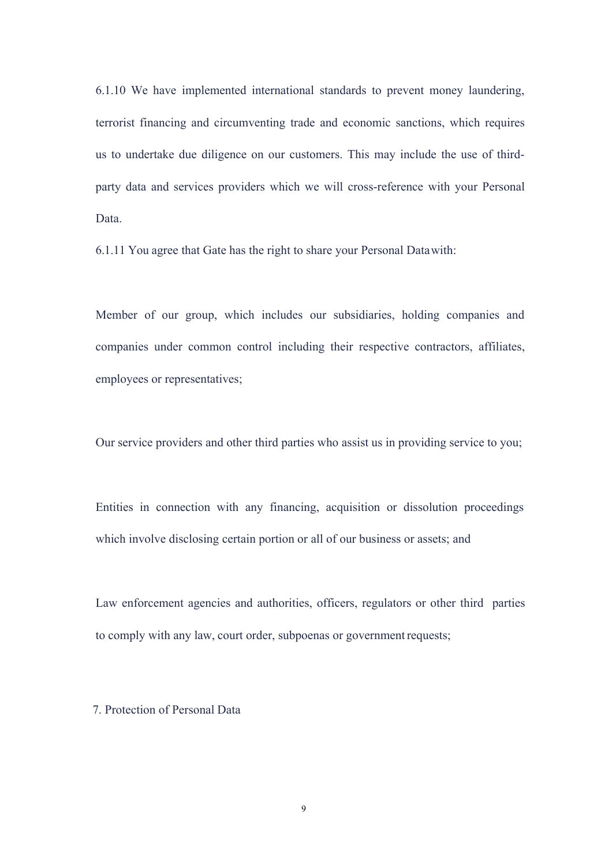6.1.10 We have implemented international standards to prevent money laundering, terrorist financing and circumventing trade and economic sanctions, which requires us to undertake due diligence on our customers. This may include the use of third party data and services providers which we will cross-reference with your Personal Data.

6.1.11 You agree that Gate has the right to share your Personal Data with:

Member of our group, which includes our subsidiaries, holding companies and companies under common control including their respective contractors, affiliates, employees or representatives;

Our service providers and other third parties who assist us in providing service to you;

Entities in connection with any financing, acquisition or dissolution proceedings which involve disclosing certain portion or all of our business or assets; and

Law enforcement agencies and authorities, officers, regulators or other third parties to comply with any law, court order, subpoenas or government requests;

7. Protection of Personal Data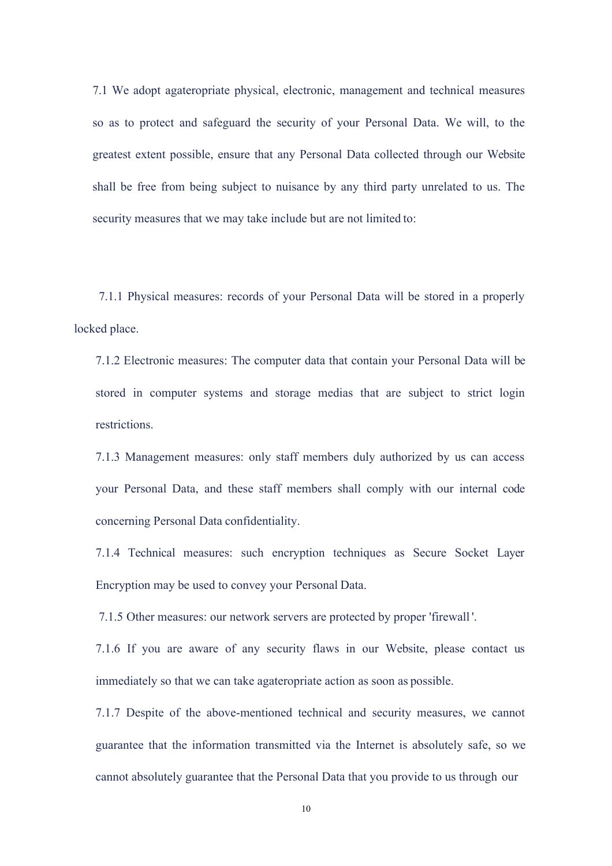7.1 We adopt agateropriate physical, electronic, management and technical measures so as to protect and safeguard the security of your Personal Data. We will, to the greatest extent possible, ensure that any Personal Data collected through our Website shall be free from being subject to nuisance by any third party unrelated to us. The security measures that we may take include but are not limited to:

7.1.1 Physical measures: records of your Personal Data will be stored in a properly locked place.

7.1.2 Electronic measures: The computer data that contain your Personal Data will be stored in computer systems and storage medias that are subject to strict login restrictions.

7.1.3 Management measures: only staff members duly authorized by us can access your Personal Data, and these staff members shall comply with our internal code concerning Personal Data confidentiality.

7.1.4 Technical measures: such encryption techniques as Secure Socket Layer Encryption may be used to convey your Personal Data.

7.1.5 Other measures: our network servers are protected by proper 'firewall '.

7.1.6 If you are aware of any security flaws in our Website, please contact us immediately so that we can take agateropriate action as soon as possible.<br>7.1.7 Despite of the above-mentioned technical and security measures, we cannot

guarantee that the information transmitted via the Internet is absolutely safe, so we cannot absolutely guarantee that the Personal Data that you provide to us through our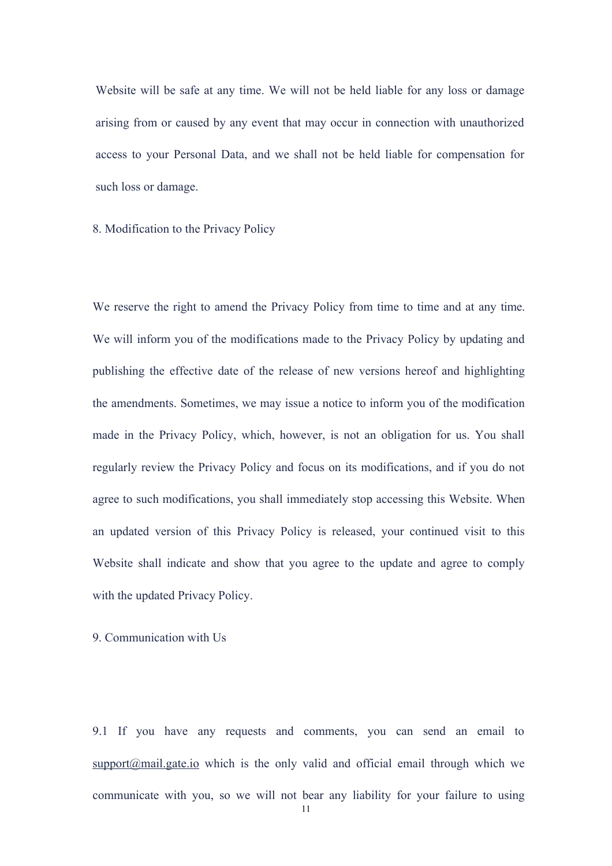Website will be safe at any time. We will not be held liable for any loss or damage arising from or caused by any event that may occur in connection with unauthorized access to your Personal Data, and we shall not be held liable for compensation for such loss or damage.

8. Modification to the Privacy Policy

We reserve the right to amend the Privacy Policy from time to time and at any time. We will inform you of the modifications made to the Privacy Policy by updating and publishing the effective date of the release of new versions hereof and highlighting the amendments. Sometimes, we may issue a notice to inform you of the modification made in the Privacy Policy, which, however, is not an obligation for us. You shall regularly review the Privacy Policy and focus on its modifications, and if you do not agree to such modifications, you shall immediately stop accessing this Website. When an updated version of this Privacy Policy is released, your continued visit to this Website shall indicate and show that you agree to the update and agree to comply with the updated Privacy Policy.

9. Communication with Us

9.1 If you have any requests and comments, you can send an email to  $support@mail.gete.io$  which is the only valid and official email through which we communicate with you, so we will not bear any liability for your failure to using